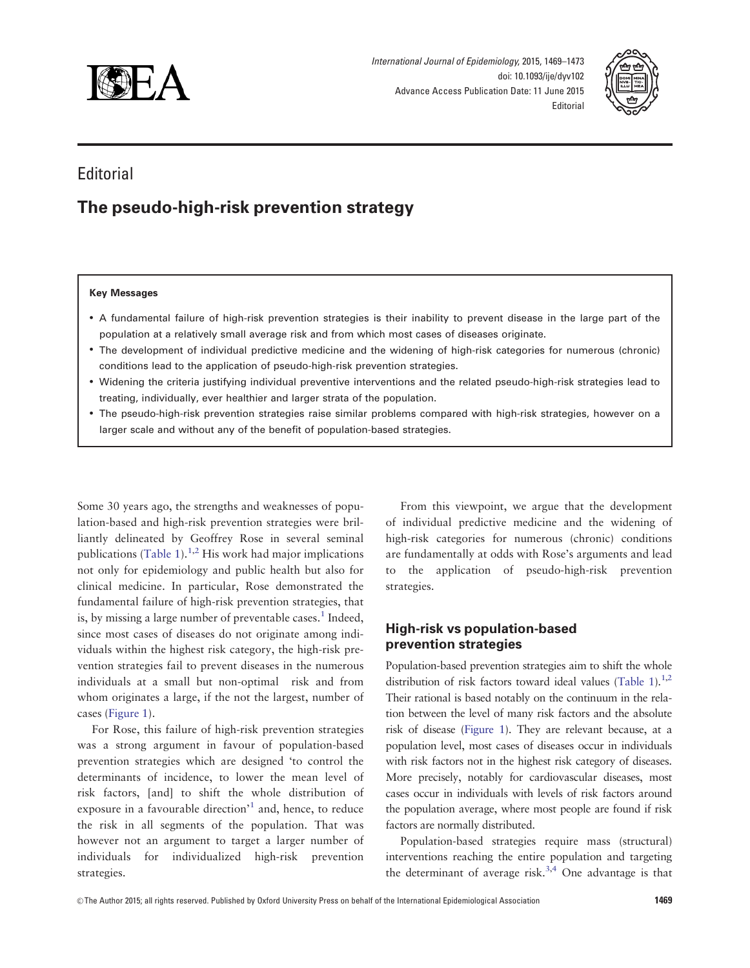



## Editorial

# The pseudo-high-risk prevention strategy

#### Key Messages

- A fundamental failure of high-risk prevention strategies is their inability to prevent disease in the large part of the population at a relatively small average risk and from which most cases of diseases originate.
- The development of individual predictive medicine and the widening of high-risk categories for numerous (chronic) conditions lead to the application of pseudo-high-risk prevention strategies.
- Widening the criteria justifying individual preventive interventions and the related pseudo-high-risk strategies lead to treating, individually, ever healthier and larger strata of the population.
- The pseudo-high-risk prevention strategies raise similar problems compared with high-risk strategies, however on a larger scale and without any of the benefit of population-based strategies.

Some 30 years ago, the strengths and weaknesses of population-based and high-risk prevention strategies were brilliantly delineated by Geoffrey Rose in several seminal publications [\(Table 1\)](#page-1-0).<sup>1,[2](#page-4-0)</sup> His work had major implications not only for epidemiology and public health but also for clinical medicine. In particular, Rose demonstrated the fundamental failure of high-risk prevention strategies, that is, by missing a large number of preventable cases.<sup>[1](#page-4-0)</sup> Indeed, since most cases of diseases do not originate among individuals within the highest risk category, the high-risk prevention strategies fail to prevent diseases in the numerous individuals at a small but non-optimal risk and from whom originates a large, if the not the largest, number of cases ([Figure 1](#page-1-0)).

For Rose, this failure of high-risk prevention strategies was a strong argument in favour of population-based prevention strategies which are designed 'to control the determinants of incidence, to lower the mean level of risk factors, [and] to shift the whole distribution of exposure in a favourable direction<sup>[1](#page-4-0)</sup> and, hence, to reduce the risk in all segments of the population. That was however not an argument to target a larger number of individuals for individualized high-risk prevention strategies.

From this viewpoint, we argue that the development of individual predictive medicine and the widening of high-risk categories for numerous (chronic) conditions are fundamentally at odds with Rose's arguments and lead to the application of pseudo-high-risk prevention strategies.

## High-risk vs population-based prevention strategies

Population-based prevention strategies aim to shift the whole distribution of risk factors toward ideal values [\(Table 1\)](#page-1-0).<sup>1,2</sup> Their rational is based notably on the continuum in the relation between the level of many risk factors and the absolute risk of disease [\(Figure 1\)](#page-1-0). They are relevant because, at a population level, most cases of diseases occur in individuals with risk factors not in the highest risk category of diseases. More precisely, notably for cardiovascular diseases, most cases occur in individuals with levels of risk factors around the population average, where most people are found if risk factors are normally distributed.

Population-based strategies require mass (structural) interventions reaching the entire population and targeting the determinant of average risk.<sup>3,4</sup> One advantage is that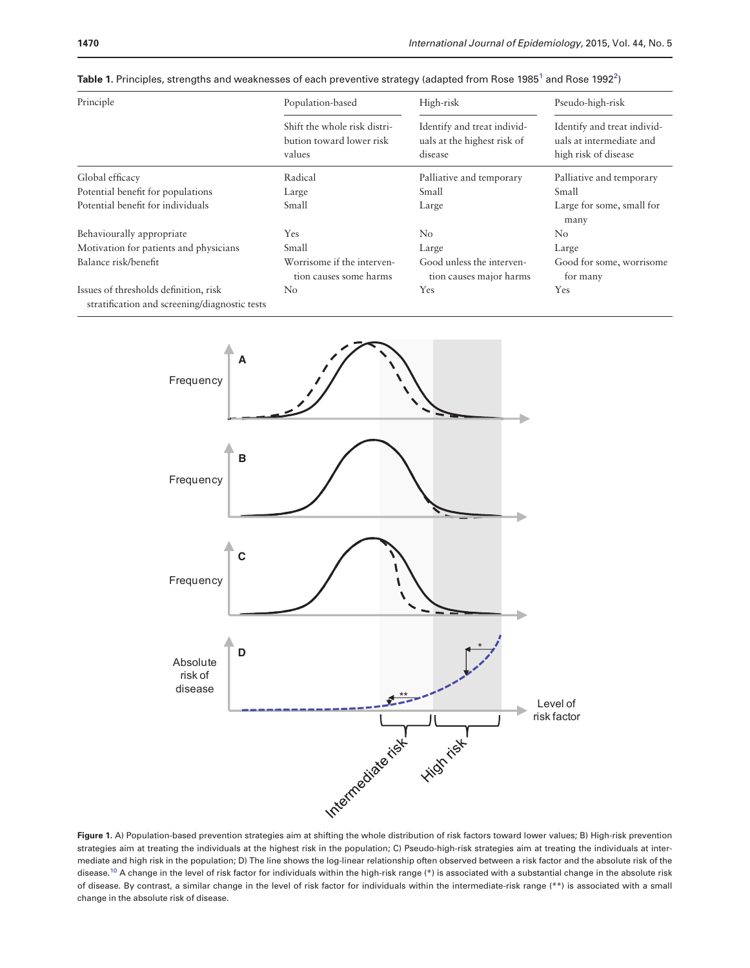| Principle                                                                              | Population-based<br>Shift the whole risk distri-<br>bution toward lower risk<br>values | High-risk<br>Identify and treat individ-<br>uals at the highest risk of<br>disease | Pseudo-high-risk<br>Identify and treat individ-<br>uals at intermediate and<br>high risk of disease |
|----------------------------------------------------------------------------------------|----------------------------------------------------------------------------------------|------------------------------------------------------------------------------------|-----------------------------------------------------------------------------------------------------|
|                                                                                        |                                                                                        |                                                                                    |                                                                                                     |
| Potential benefit for populations                                                      | Large                                                                                  | Small                                                                              | Small                                                                                               |
| Potential benefit for individuals                                                      | Small                                                                                  | Large                                                                              | Large for some, small for<br>many                                                                   |
| Behaviourally appropriate                                                              | Yes                                                                                    | N <sub>o</sub>                                                                     | $\rm No$                                                                                            |
| Motivation for patients and physicians                                                 | Small                                                                                  | Large                                                                              | Large                                                                                               |
| Balance risk/benefit                                                                   | Worrisome if the interven-<br>tion causes some harms                                   | Good unless the interven-<br>tion causes major harms                               | Good for some, worrisome<br>for many                                                                |
| Issues of thresholds definition, risk<br>stratification and screening/diagnostic tests | $\rm No$                                                                               | Yes                                                                                | Yes                                                                                                 |

<span id="page-1-0"></span>**Table [1](#page-4-0).** Principles, strengths and weaknesses of each preventive strategy (adapted from Rose 1985 $^1$  and Rose 199[2](#page-4-0) $^2$ )



strategies aim at treating the individuals at the highest risk in the population; C) Pseudo-high-risk strategies aim at treating the individuals at intermediate and high risk in the population; D) The line shows the log-linear relationship often observed between a risk factor and the absolute risk of the disease.<sup>[10](#page-4-0)</sup> A change in the level of risk factor for individuals within the high-risk range (\*) is associated with a substantial change in the absolute risk of disease. By contrast, a similar change in the level of risk factor for individuals within the intermediate-risk range (\*\*) is associated with a small change in the absolute risk of disease.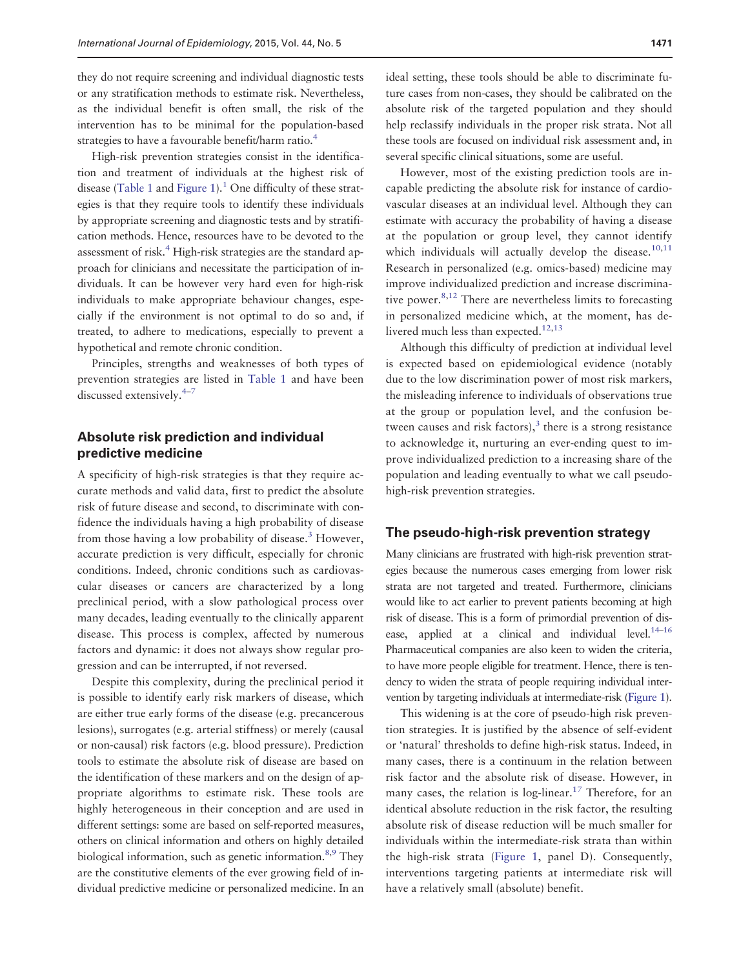they do not require screening and individual diagnostic tests or any stratification methods to estimate risk. Nevertheless, as the individual benefit is often small, the risk of the intervention has to be minimal for the population-based strategies to have a favourable benefit/harm ratio.[4](#page-4-0)

High-risk prevention strategies consist in the identification and treatment of individuals at the highest risk of disease ([Table 1](#page-1-0) and [Figure 1](#page-1-0)).<sup>[1](#page-4-0)</sup> One difficulty of these strategies is that they require tools to identify these individuals by appropriate screening and diagnostic tests and by stratification methods. Hence, resources have to be devoted to the assessment of risk.<sup>4</sup> High-risk strategies are the standard approach for clinicians and necessitate the participation of individuals. It can be however very hard even for high-risk individuals to make appropriate behaviour changes, especially if the environment is not optimal to do so and, if treated, to adhere to medications, especially to prevent a hypothetical and remote chronic condition.

Principles, strengths and weaknesses of both types of prevention strategies are listed in [Table 1](#page-1-0) and have been discussed extensively.[4](#page-4-0)–[7](#page-4-0)

### Absolute risk prediction and individual predictive medicine

A specificity of high-risk strategies is that they require accurate methods and valid data, first to predict the absolute risk of future disease and second, to discriminate with confidence the individuals having a high probability of disease from those having a low probability of disease.<sup>[3](#page-4-0)</sup> However, accurate prediction is very difficult, especially for chronic conditions. Indeed, chronic conditions such as cardiovascular diseases or cancers are characterized by a long preclinical period, with a slow pathological process over many decades, leading eventually to the clinically apparent disease. This process is complex, affected by numerous factors and dynamic: it does not always show regular progression and can be interrupted, if not reversed.

Despite this complexity, during the preclinical period it is possible to identify early risk markers of disease, which are either true early forms of the disease (e.g. precancerous lesions), surrogates (e.g. arterial stiffness) or merely (causal or non-causal) risk factors (e.g. blood pressure). Prediction tools to estimate the absolute risk of disease are based on the identification of these markers and on the design of appropriate algorithms to estimate risk. These tools are highly heterogeneous in their conception and are used in different settings: some are based on self-reported measures, others on clinical information and others on highly detailed biological information, such as genetic information.<sup>8,9</sup> They are the constitutive elements of the ever growing field of individual predictive medicine or personalized medicine. In an

ideal setting, these tools should be able to discriminate future cases from non-cases, they should be calibrated on the absolute risk of the targeted population and they should help reclassify individuals in the proper risk strata. Not all these tools are focused on individual risk assessment and, in several specific clinical situations, some are useful.

However, most of the existing prediction tools are incapable predicting the absolute risk for instance of cardiovascular diseases at an individual level. Although they can estimate with accuracy the probability of having a disease at the population or group level, they cannot identify which individuals will actually develop the disease.<sup>[10,11](#page-4-0)</sup> Research in personalized (e.g. omics-based) medicine may improve individualized prediction and increase discriminative power.  $8,12$  There are nevertheless limits to forecasting in personalized medicine which, at the moment, has delivered much less than expected.<sup>12,13</sup>

Although this difficulty of prediction at individual level is expected based on epidemiological evidence (notably due to the low discrimination power of most risk markers, the misleading inference to individuals of observations true at the group or population level, and the confusion between causes and risk factors), $3$  there is a strong resistance to acknowledge it, nurturing an ever-ending quest to improve individualized prediction to a increasing share of the population and leading eventually to what we call pseudohigh-risk prevention strategies.

#### The pseudo-high-risk prevention strategy

Many clinicians are frustrated with high-risk prevention strategies because the numerous cases emerging from lower risk strata are not targeted and treated. Furthermore, clinicians would like to act earlier to prevent patients becoming at high risk of disease. This is a form of primordial prevention of disease, applied at a clinical and individual level. $14-16$ Pharmaceutical companies are also keen to widen the criteria, to have more people eligible for treatment. Hence, there is tendency to widen the strata of people requiring individual intervention by targeting individuals at intermediate-risk [\(Figure 1\)](#page-1-0).

This widening is at the core of pseudo-high risk prevention strategies. It is justified by the absence of self-evident or 'natural' thresholds to define high-risk status. Indeed, in many cases, there is a continuum in the relation between risk factor and the absolute risk of disease. However, in many cases, the relation is  $\log$ -linear.<sup>[17](#page-4-0)</sup> Therefore, for an identical absolute reduction in the risk factor, the resulting absolute risk of disease reduction will be much smaller for individuals within the intermediate-risk strata than within the high-risk strata [\(Figure 1,](#page-1-0) panel D). Consequently, interventions targeting patients at intermediate risk will have a relatively small (absolute) benefit.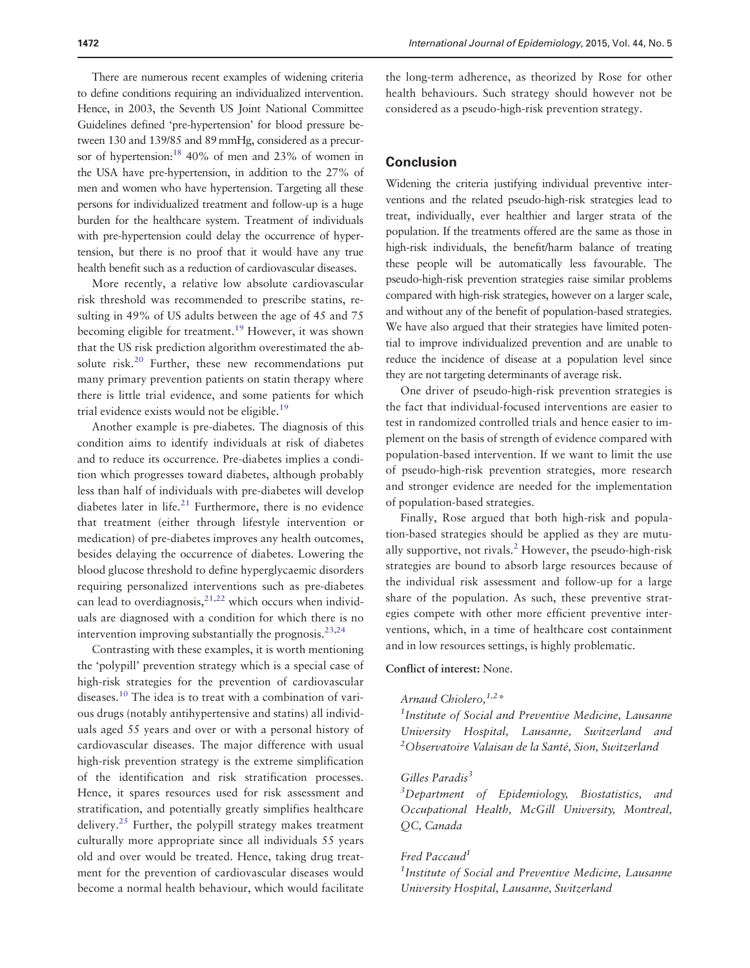There are numerous recent examples of widening criteria to define conditions requiring an individualized intervention. Hence, in 2003, the Seventh US Joint National Committee Guidelines defined 'pre-hypertension' for blood pressure between 130 and 139/85 and 89 mmHg, considered as a precursor of hypertension:<sup>18</sup> 40% of men and 23% of women in the USA have pre-hypertension, in addition to the 27% of men and women who have hypertension. Targeting all these persons for individualized treatment and follow-up is a huge burden for the healthcare system. Treatment of individuals with pre-hypertension could delay the occurrence of hypertension, but there is no proof that it would have any true health benefit such as a reduction of cardiovascular diseases.

More recently, a relative low absolute cardiovascular risk threshold was recommended to prescribe statins, resulting in 49% of US adults between the age of 45 and 75 becoming eligible for treatment.<sup>[19](#page-4-0)</sup> However, it was shown that the US risk prediction algorithm overestimated the ab-solute risk.<sup>[20](#page-4-0)</sup> Further, these new recommendations put many primary prevention patients on statin therapy where there is little trial evidence, and some patients for which trial evidence exists would not be eligible.<sup>[19](#page-4-0)</sup>

Another example is pre-diabetes. The diagnosis of this condition aims to identify individuals at risk of diabetes and to reduce its occurrence. Pre-diabetes implies a condition which progresses toward diabetes, although probably less than half of individuals with pre-diabetes will develop diabetes later in life. $21$  Furthermore, there is no evidence that treatment (either through lifestyle intervention or medication) of pre-diabetes improves any health outcomes, besides delaying the occurrence of diabetes. Lowering the blood glucose threshold to define hyperglycaemic disorders requiring personalized interventions such as pre-diabetes can lead to overdiagnosis,  $2^{1,22}$  which occurs when individuals are diagnosed with a condition for which there is no intervention improving substantially the prognosis.<sup>[23,24](#page-4-0)</sup>

Contrasting with these examples, it is worth mentioning the 'polypill' prevention strategy which is a special case of high-risk strategies for the prevention of cardiovascular diseases.<sup>10</sup> The idea is to treat with a combination of various drugs (notably antihypertensive and statins) all individuals aged 55 years and over or with a personal history of cardiovascular diseases. The major difference with usual high-risk prevention strategy is the extreme simplification of the identification and risk stratification processes. Hence, it spares resources used for risk assessment and stratification, and potentially greatly simplifies healthcare delivery.<sup>25</sup> Further, the polypill strategy makes treatment culturally more appropriate since all individuals 55 years old and over would be treated. Hence, taking drug treatment for the prevention of cardiovascular diseases would become a normal health behaviour, which would facilitate

the long-term adherence, as theorized by Rose for other health behaviours. Such strategy should however not be considered as a pseudo-high-risk prevention strategy.

## Conclusion

Widening the criteria justifying individual preventive interventions and the related pseudo-high-risk strategies lead to treat, individually, ever healthier and larger strata of the population. If the treatments offered are the same as those in high-risk individuals, the benefit/harm balance of treating these people will be automatically less favourable. The pseudo-high-risk prevention strategies raise similar problems compared with high-risk strategies, however on a larger scale, and without any of the benefit of population-based strategies. We have also argued that their strategies have limited potential to improve individualized prevention and are unable to reduce the incidence of disease at a population level since they are not targeting determinants of average risk.

One driver of pseudo-high-risk prevention strategies is the fact that individual-focused interventions are easier to test in randomized controlled trials and hence easier to implement on the basis of strength of evidence compared with population-based intervention. If we want to limit the use of pseudo-high-risk prevention strategies, more research and stronger evidence are needed for the implementation of population-based strategies.

Finally, Rose argued that both high-risk and population-based strategies should be applied as they are mutually supportive, not rivals. $2$  However, the pseudo-high-risk strategies are bound to absorb large resources because of the individual risk assessment and follow-up for a large share of the population. As such, these preventive strategies compete with other more efficient preventive interventions, which, in a time of healthcare cost containment and in low resources settings, is highly problematic.

### Conflict of interest: None.

## Arnaud Chiolero, 1,2\*

<sup>1</sup>Institute of Social and Preventive Medicine, Lausanne University Hospital, Lausanne, Switzerland and <sup>2</sup>Observatoire Valaisan de la Santé, Sion, Switzerland

#### Gilles Paradis<sup>3</sup>

<sup>3</sup>Department of Epidemiology, Biostatistics, and Occupational Health, McGill University, Montreal, QC, Canada

#### Fred Paccaud<sup>1</sup>

<sup>1</sup>Institute of Social and Preventive Medicine, Lausanne University Hospital, Lausanne, Switzerland